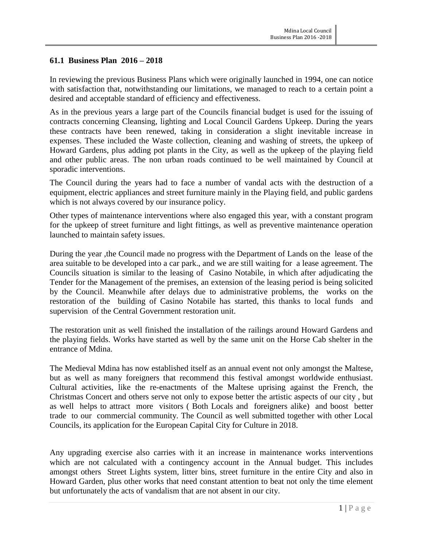### **61.1 Business Plan 2016 – 2018**

In reviewing the previous Business Plans which were originally launched in 1994, one can notice with satisfaction that, notwithstanding our limitations, we managed to reach to a certain point a desired and acceptable standard of efficiency and effectiveness.

As in the previous years a large part of the Councils financial budget is used for the issuing of contracts concerning Cleansing, lighting and Local Council Gardens Upkeep. During the years these contracts have been renewed, taking in consideration a slight inevitable increase in expenses. These included the Waste collection, cleaning and washing of streets, the upkeep of Howard Gardens, plus adding pot plants in the City, as well as the upkeep of the playing field and other public areas. The non urban roads continued to be well maintained by Council at sporadic interventions.

The Council during the years had to face a number of vandal acts with the destruction of a equipment, electric appliances and street furniture mainly in the Playing field, and public gardens which is not always covered by our insurance policy.

Other types of maintenance interventions where also engaged this year, with a constant program for the upkeep of street furniture and light fittings, as well as preventive maintenance operation launched to maintain safety issues.

During the year ,the Council made no progress with the Department of Lands on the lease of the area suitable to be developed into a car park., and we are still waiting for a lease agreement. The Councils situation is similar to the leasing of Casino Notabile, in which after adjudicating the Tender for the Management of the premises, an extension of the leasing period is being solicited by the Council. Meanwhile after delays due to administrative problems, the works on the restoration of the building of Casino Notabile has started, this thanks to local funds and supervision of the Central Government restoration unit.

The restoration unit as well finished the installation of the railings around Howard Gardens and the playing fields. Works have started as well by the same unit on the Horse Cab shelter in the entrance of Mdina.

The Medieval Mdina has now established itself as an annual event not only amongst the Maltese, but as well as many foreigners that recommend this festival amongst worldwide enthusiast. Cultural activities, like the re-enactments of the Maltese uprising against the French, the Christmas Concert and others serve not only to expose better the artistic aspects of our city , but as well helps to attract more visitors ( Both Locals and foreigners alike) and boost better trade to our commercial community. The Council as well submitted together with other Local Councils, its application for the European Capital City for Culture in 2018.

Any upgrading exercise also carries with it an increase in maintenance works interventions which are not calculated with a contingency account in the Annual budget. This includes amongst others Street Lights system, litter bins, street furniture in the entire City and also in Howard Garden, plus other works that need constant attention to beat not only the time element but unfortunately the acts of vandalism that are not absent in our city.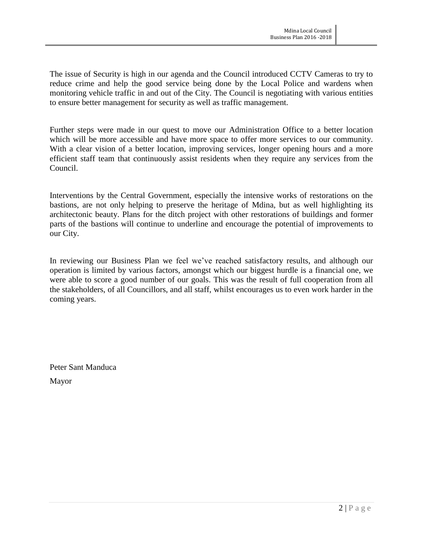The issue of Security is high in our agenda and the Council introduced CCTV Cameras to try to reduce crime and help the good service being done by the Local Police and wardens when monitoring vehicle traffic in and out of the City. The Council is negotiating with various entities to ensure better management for security as well as traffic management.

Further steps were made in our quest to move our Administration Office to a better location which will be more accessible and have more space to offer more services to our community. With a clear vision of a better location, improving services, longer opening hours and a more efficient staff team that continuously assist residents when they require any services from the Council.

Interventions by the Central Government, especially the intensive works of restorations on the bastions, are not only helping to preserve the heritage of Mdina, but as well highlighting its architectonic beauty. Plans for the ditch project with other restorations of buildings and former parts of the bastions will continue to underline and encourage the potential of improvements to our City.

In reviewing our Business Plan we feel we've reached satisfactory results, and although our operation is limited by various factors, amongst which our biggest hurdle is a financial one, we were able to score a good number of our goals. This was the result of full cooperation from all the stakeholders, of all Councillors, and all staff, whilst encourages us to even work harder in the coming years.

Peter Sant Manduca Mayor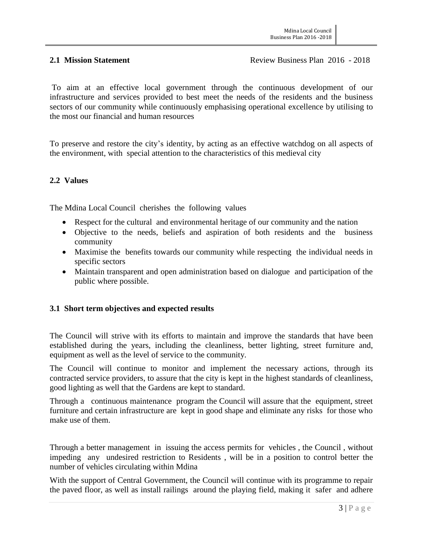To aim at an effective local government through the continuous development of our infrastructure and services provided to best meet the needs of the residents and the business sectors of our community while continuously emphasising operational excellence by utilising to the most our financial and human resources

To preserve and restore the city's identity, by acting as an effective watchdog on all aspects of the environment, with special attention to the characteristics of this medieval city

#### **2.2 Values**

The Mdina Local Council cherishes the following values

- Respect for the cultural and environmental heritage of our community and the nation
- Objective to the needs, beliefs and aspiration of both residents and the business community
- Maximise the benefits towards our community while respecting the individual needs in specific sectors
- Maintain transparent and open administration based on dialogue and participation of the public where possible.

# **3.1 Short term objectives and expected results**

The Council will strive with its efforts to maintain and improve the standards that have been established during the years, including the cleanliness, better lighting, street furniture and, equipment as well as the level of service to the community.

The Council will continue to monitor and implement the necessary actions, through its contracted service providers, to assure that the city is kept in the highest standards of cleanliness, good lighting as well that the Gardens are kept to standard.

Through a continuous maintenance program the Council will assure that the equipment, street furniture and certain infrastructure are kept in good shape and eliminate any risks for those who make use of them.

Through a better management in issuing the access permits for vehicles , the Council , without impeding any undesired restriction to Residents , will be in a position to control better the number of vehicles circulating within Mdina

With the support of Central Government, the Council will continue with its programme to repair the paved floor, as well as install railings around the playing field, making it safer and adhere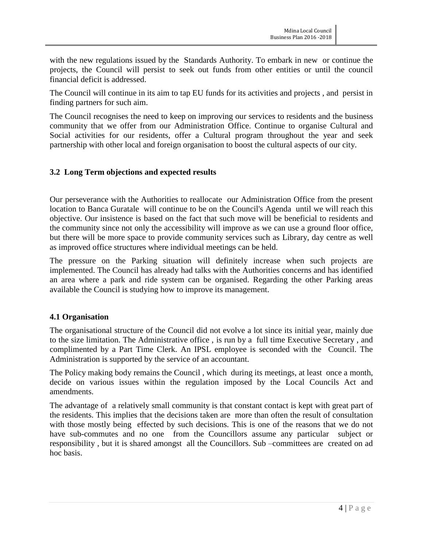with the new regulations issued by the Standards Authority. To embark in new or continue the projects, the Council will persist to seek out funds from other entities or until the council financial deficit is addressed.

The Council will continue in its aim to tap EU funds for its activities and projects , and persist in finding partners for such aim.

The Council recognises the need to keep on improving our services to residents and the business community that we offer from our Administration Office. Continue to organise Cultural and Social activities for our residents, offer a Cultural program throughout the year and seek partnership with other local and foreign organisation to boost the cultural aspects of our city.

### **3.2 Long Term objections and expected results**

Our perseverance with the Authorities to reallocate our Administration Office from the present location to Banca Guratale will continue to be on the Council's Agenda until we will reach this objective. Our insistence is based on the fact that such move will be beneficial to residents and the community since not only the accessibility will improve as we can use a ground floor office, but there will be more space to provide community services such as Library, day centre as well as improved office structures where individual meetings can be held.

The pressure on the Parking situation will definitely increase when such projects are implemented. The Council has already had talks with the Authorities concerns and has identified an area where a park and ride system can be organised. Regarding the other Parking areas available the Council is studying how to improve its management.

# **4.1 Organisation**

The organisational structure of the Council did not evolve a lot since its initial year, mainly due to the size limitation. The Administrative office , is run by a full time Executive Secretary , and complimented by a Part Time Clerk. An IPSL employee is seconded with the Council. The Administration is supported by the service of an accountant.

The Policy making body remains the Council , which during its meetings, at least once a month, decide on various issues within the regulation imposed by the Local Councils Act and amendments.

The advantage of a relatively small community is that constant contact is kept with great part of the residents. This implies that the decisions taken are more than often the result of consultation with those mostly being effected by such decisions. This is one of the reasons that we do not have sub-commutes and no one from the Councillors assume any particular subject or responsibility , but it is shared amongst all the Councillors. Sub –committees are created on ad hoc basis.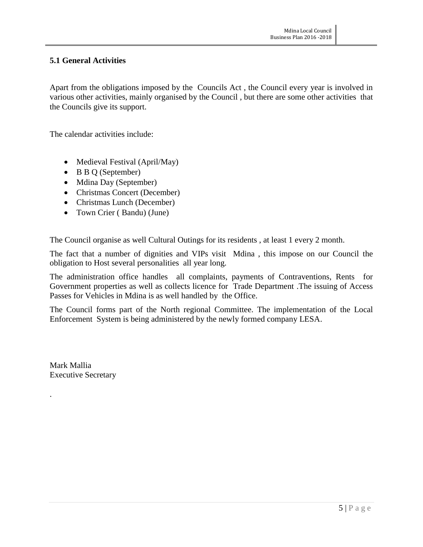### **5.1 General Activities**

Apart from the obligations imposed by the Councils Act , the Council every year is involved in various other activities, mainly organised by the Council , but there are some other activities that the Councils give its support.

The calendar activities include:

- Medieval Festival (April/May)
- B B Q (September)
- Mdina Day (September)
- Christmas Concert (December)
- Christmas Lunch (December)
- Town Crier (Bandu) (June)

The Council organise as well Cultural Outings for its residents , at least 1 every 2 month.

The fact that a number of dignities and VIPs visit Mdina , this impose on our Council the obligation to Host several personalities all year long.

The administration office handles all complaints, payments of Contraventions, Rents for Government properties as well as collects licence for Trade Department .The issuing of Access Passes for Vehicles in Mdina is as well handled by the Office.

The Council forms part of the North regional Committee. The implementation of the Local Enforcement System is being administered by the newly formed company LESA.

Mark Mallia Executive Secretary

.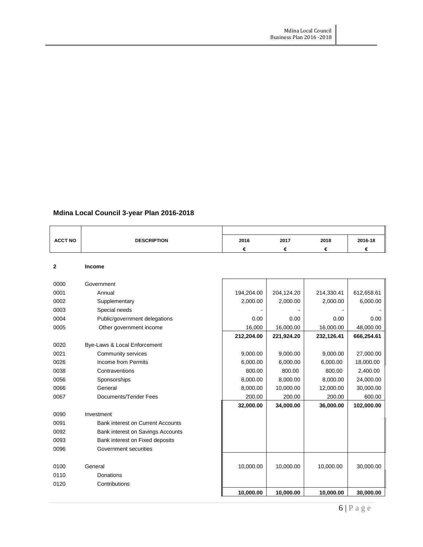| Mdina Local Council 3-year Plan 2016-2018 |  |  |  |  |  |
|-------------------------------------------|--|--|--|--|--|
|-------------------------------------------|--|--|--|--|--|

| <b>ACCT NO</b> | <b>DESCRIPTION</b>                       | 2016       | 2017       | 2018       | 2016-18    |
|----------------|------------------------------------------|------------|------------|------------|------------|
|                |                                          | €          | €          | €          | €          |
|                |                                          |            |            |            |            |
| $\mathbf{2}$   | <b>Income</b>                            |            |            |            |            |
| 0000           | Government                               |            |            |            |            |
| 0001           | Annual                                   | 194,204.00 | 204,124.20 | 214,330.41 | 612,658.61 |
| 0002           | Supplementary                            | 2,000.00   | 2,000.00   | 2,000.00   | 6,000.00   |
| 0003           | Special needs                            |            |            |            |            |
| 0004           | Public/government delegations            | 0.00       | 0.00       | 0.00       | 0.00       |
| 0005           | Other government income                  | 16,000     | 16,000.00  | 16,000.00  | 48,000.00  |
|                |                                          | 212,204.00 | 221,924.20 | 232,126.41 | 666,254.61 |
| 0020           | Bye-Laws & Local Enforcement             |            |            |            |            |
| 0021           | Community services                       | 9,000.00   | 9,000.00   | 9,000.00   | 27,000.00  |
| 0026           | Income from Permits                      | 6,000.00   | 6,000.00   | 6,000.00   | 18,000.00  |
| 0038           | Contraventions                           | 800.00     | 800.00     | 800.00     | 2,400.00   |
| 0056           | Sponsorships                             | 8,000.00   | 8,000.00   | 8,000.00   | 24,000.00  |
| 0066           | General                                  | 8,000.00   | 10,000.00  | 12,000.00  | 30,000.00  |
| 0067           | Documents/Tender Fees                    | 200.00     | 200.00     | 200.00     | 600.00     |
|                |                                          | 32,000.00  | 34,000.00  | 36,000.00  | 102,000.00 |
| 0090           | Investment                               |            |            |            |            |
| 0091           | <b>Bank interest on Current Accounts</b> |            |            |            |            |
| 0092           | Bank interest on Savings Accounts        |            |            |            |            |
| 0093           | Bank interest on Fixed deposits          |            |            |            |            |
| 0096           | Government securities                    |            |            |            |            |
|                |                                          |            |            |            |            |
| 0100           | General                                  | 10,000.00  | 10,000.00  | 10,000.00  | 30,000.00  |
| 0110           | Donations                                |            |            |            |            |
| 0120           | Contributions                            |            |            |            |            |
|                |                                          | 10,000.00  | 10,000.00  | 10,000.00  | 30,000.00  |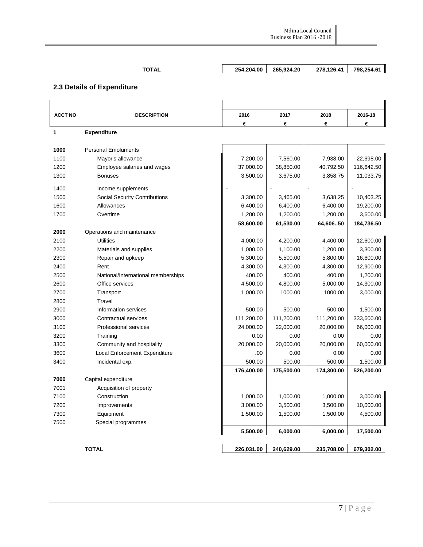# **TOTAL 254,204.00 265,924.20 278,126.41 798,254.61**

# **2.3 Details of Expenditure**

| <b>ACCT NO</b> | <b>DESCRIPTION</b>                   | 2016       | 2017       | 2018       | 2016-18    |
|----------------|--------------------------------------|------------|------------|------------|------------|
|                |                                      | €          | €          | €          | €          |
| 1              | <b>Expenditure</b>                   |            |            |            |            |
|                |                                      |            |            |            |            |
| 1000           | <b>Personal Emoluments</b>           |            |            |            |            |
| 1100           | Mayor's allowance                    | 7,200.00   | 7,560.00   | 7,938.00   | 22,698.00  |
| 1200           | Employee salaries and wages          | 37,000.00  | 38,850.00  | 40,792.50  | 116,642.50 |
| 1300           | <b>Bonuses</b>                       | 3,500.00   | 3,675.00   | 3,858.75   | 11,033.75  |
| 1400           | Income supplements                   |            |            |            |            |
| 1500           | <b>Social Security Contributions</b> | 3,300.00   | 3,465.00   | 3,638.25   | 10,403.25  |
| 1600           | Allowances                           | 6,400.00   | 6,400.00   | 6,400.00   | 19,200.00  |
| 1700           | Overtime                             | 1,200.00   | 1,200.00   | 1,200.00   | 3,600.00   |
|                |                                      | 58,600.00  | 61,530.00  | 64,60650   | 184,736.50 |
| 2000           | Operations and maintenance           |            |            |            |            |
| 2100           | <b>Utilities</b>                     | 4,000.00   | 4,200.00   | 4,400.00   | 12,600.00  |
| 2200           | Materials and supplies               | 1,000.00   | 1,100.00   | 1,200.00   | 3,300.00   |
| 2300           | Repair and upkeep                    | 5,300.00   | 5,500.00   | 5,800.00   | 16,600.00  |
| 2400           | Rent                                 | 4,300.00   | 4,300.00   | 4,300.00   | 12,900.00  |
| 2500           | National/International memberships   | 400.00     | 400.00     | 400.00     | 1,200.00   |
| 2600           | Office services                      | 4,500.00   | 4,800.00   | 5,000.00   | 14,300.00  |
| 2700           | Transport                            | 1,000.00   | 1000.00    | 1000.00    | 3,000.00   |
| 2800           | Travel                               |            |            |            |            |
| 2900           | Information services                 | 500.00     | 500.00     | 500.00     | 1,500.00   |
| 3000           | Contractual services                 | 111,200.00 | 111,200.00 | 111,200.00 | 333,600.00 |
| 3100           | Professional services                | 24,000.00  | 22,000.00  | 20,000.00  | 66,000.00  |
| 3200           | Training                             | 0.00       | 0.00       | 0.00       | 0.00       |
| 3300           | Community and hospitality            | 20,000.00  | 20,000.00  | 20,000.00  | 60,000.00  |
| 3600           | Local Enforcement Expenditure        | .00        | 0.00       | 0.00       | 0.00       |
| 3400           | Incidental exp.                      | 500.00     | 500.00     | 500.00     | 1,500.00   |
|                |                                      | 176,400.00 | 175,500.00 | 174,300.00 | 526,200.00 |
| 7000           | Capital expenditure                  |            |            |            |            |
| 7001           | Acquisition of property              |            |            |            |            |
| 7100           | Construction                         | 1,000.00   | 1,000.00   | 1,000.00   | 3,000.00   |
| 7200           | Improvements                         | 3,000.00   | 3,500.00   | 3,500.00   | 10,000.00  |
| 7300           | Equipment                            | 1,500.00   | 1,500.00   | 1,500.00   | 4,500.00   |
| 7500           | Special programmes                   |            |            |            |            |
|                |                                      | 5,500.00   | 6,000.00   | 6,000.00   | 17,500.00  |
|                |                                      |            |            |            |            |
|                | <b>TOTAL</b>                         | 226,031.00 | 240,629.00 | 235,708.00 | 679,302.00 |